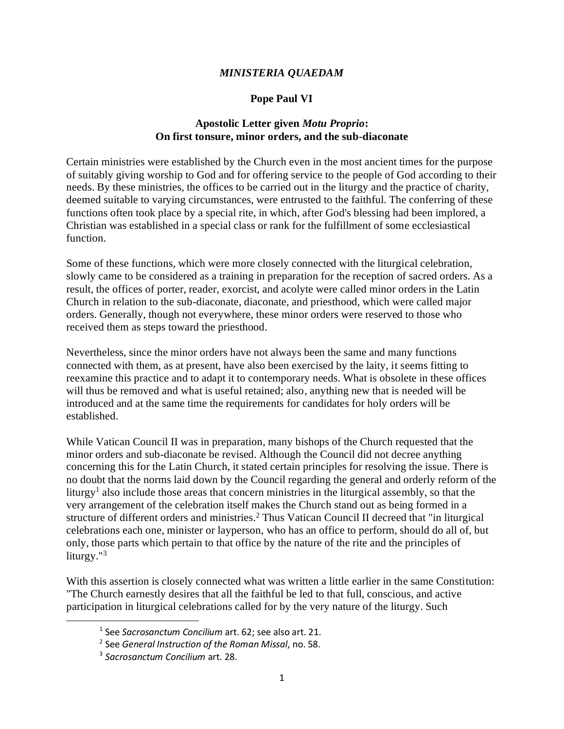## *MINISTERIA QUAEDAM*

## **Pope Paul VI**

## **Apostolic Letter given** *Motu Proprio***: On first tonsure, minor orders, and the sub-diaconate**

Certain ministries were established by the Church even in the most ancient times for the purpose of suitably giving worship to God and for offering service to the people of God according to their needs. By these ministries, the offices to be carried out in the liturgy and the practice of charity, deemed suitable to varying circumstances, were entrusted to the faithful. The conferring of these functions often took place by a special rite, in which, after God's blessing had been implored, a Christian was established in a special class or rank for the fulfillment of some ecclesiastical function.

Some of these functions, which were more closely connected with the liturgical celebration, slowly came to be considered as a training in preparation for the reception of sacred orders. As a result, the offices of porter, reader, exorcist, and acolyte were called minor orders in the Latin Church in relation to the sub-diaconate, diaconate, and priesthood, which were called major orders. Generally, though not everywhere, these minor orders were reserved to those who received them as steps toward the priesthood.

Nevertheless, since the minor orders have not always been the same and many functions connected with them, as at present, have also been exercised by the laity, it seems fitting to reexamine this practice and to adapt it to contemporary needs. What is obsolete in these offices will thus be removed and what is useful retained; also, anything new that is needed will be introduced and at the same time the requirements for candidates for holy orders will be established.

While Vatican Council II was in preparation, many bishops of the Church requested that the minor orders and sub-diaconate be revised. Although the Council did not decree anything concerning this for the Latin Church, it stated certain principles for resolving the issue. There is no doubt that the norms laid down by the Council regarding the general and orderly reform of the liturgy<sup>1</sup> also include those areas that concern ministries in the liturgical assembly, so that the very arrangement of the celebration itself makes the Church stand out as being formed in a structure of different orders and ministries.<sup>2</sup> Thus Vatican Council II decreed that "in liturgical celebrations each one, minister or layperson, who has an office to perform, should do all of, but only, those parts which pertain to that office by the nature of the rite and the principles of liturgy."<sup>3</sup>

With this assertion is closely connected what was written a little earlier in the same Constitution: "The Church earnestly desires that all the faithful be led to that full, conscious, and active participation in liturgical celebrations called for by the very nature of the liturgy. Such

<sup>1</sup> See *Sacrosanctum Concilium* art. 62; see also art. 21.

<sup>2</sup> See *General Instruction of the Roman Missal*, no. 58.

<sup>3</sup> *Sacrosanctum Concilium* art. 28.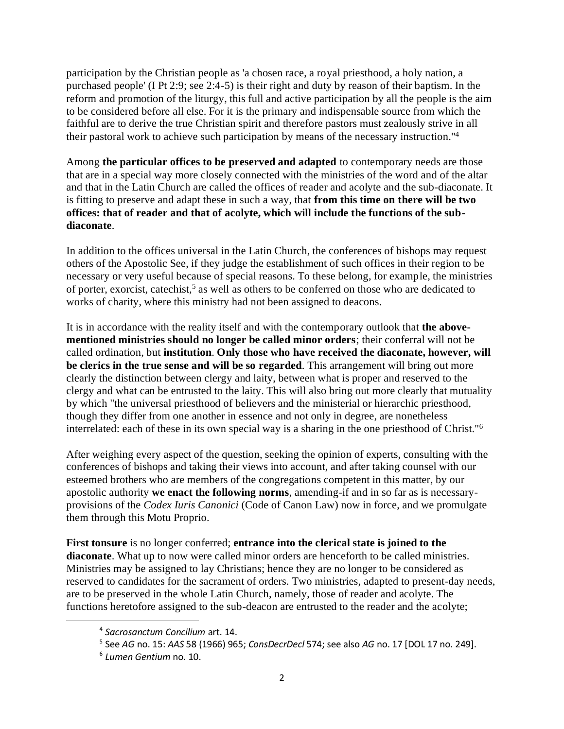participation by the Christian people as 'a chosen race, a royal priesthood, a holy nation, a purchased people' (I Pt 2:9; see 2:4-5) is their right and duty by reason of their baptism. In the reform and promotion of the liturgy, this full and active participation by all the people is the aim to be considered before all else. For it is the primary and indispensable source from which the faithful are to derive the true Christian spirit and therefore pastors must zealously strive in all their pastoral work to achieve such participation by means of the necessary instruction."<sup>4</sup>

Among **the particular offices to be preserved and adapted** to contemporary needs are those that are in a special way more closely connected with the ministries of the word and of the altar and that in the Latin Church are called the offices of reader and acolyte and the sub-diaconate. It is fitting to preserve and adapt these in such a way, that **from this time on there will be two offices: that of reader and that of acolyte, which will include the functions of the subdiaconate**.

In addition to the offices universal in the Latin Church, the conferences of bishops may request others of the Apostolic See, if they judge the establishment of such offices in their region to be necessary or very useful because of special reasons. To these belong, for example, the ministries of porter, exorcist, catechist,<sup>5</sup> as well as others to be conferred on those who are dedicated to works of charity, where this ministry had not been assigned to deacons.

It is in accordance with the reality itself and with the contemporary outlook that **the abovementioned ministries should no longer be called minor orders**; their conferral will not be called ordination, but **institution**. **Only those who have received the diaconate, however, will be clerics in the true sense and will be so regarded**. This arrangement will bring out more clearly the distinction between clergy and laity, between what is proper and reserved to the clergy and what can be entrusted to the laity. This will also bring out more clearly that mutuality by which "the universal priesthood of believers and the ministerial or hierarchic priesthood, though they differ from one another in essence and not only in degree, are nonetheless interrelated: each of these in its own special way is a sharing in the one priesthood of Christ."<sup>6</sup>

After weighing every aspect of the question, seeking the opinion of experts, consulting with the conferences of bishops and taking their views into account, and after taking counsel with our esteemed brothers who are members of the congregations competent in this matter, by our apostolic authority **we enact the following norms**, amending-if and in so far as is necessaryprovisions of the *Codex Iuris Canonici* (Code of Canon Law) now in force, and we promulgate them through this Motu Proprio.

**First tonsure** is no longer conferred; **entrance into the clerical state is joined to the diaconate**. What up to now were called minor orders are henceforth to be called ministries. Ministries may be assigned to lay Christians; hence they are no longer to be considered as reserved to candidates for the sacrament of orders. Two ministries, adapted to present-day needs, are to be preserved in the whole Latin Church, namely, those of reader and acolyte. The functions heretofore assigned to the sub-deacon are entrusted to the reader and the acolyte;

<sup>4</sup> *Sacrosanctum Concilium* art. 14.

<sup>5</sup> See *AG* no. 15: *AAS* 58 (1966) 965; *ConsDecrDecl* 574; see also *AG* no. 17 [DOL 17 no. 249].

<sup>6</sup> *Lumen Gentium* no. 10.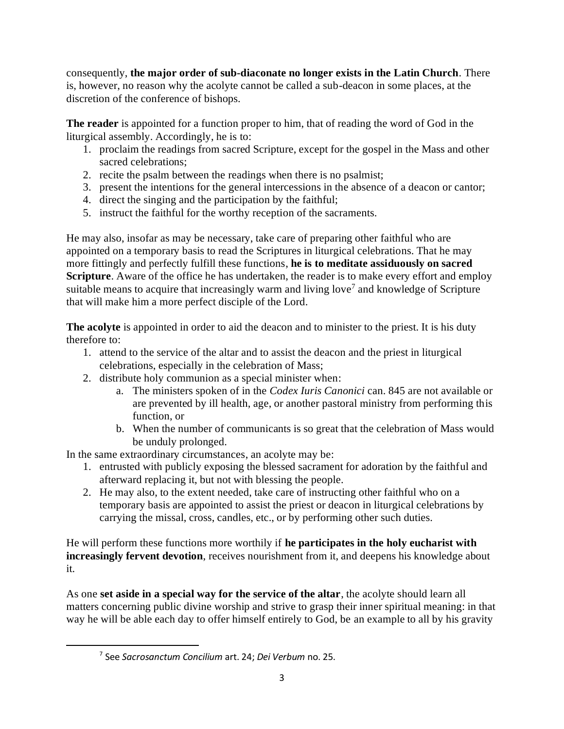consequently, **the major order of sub-diaconate no longer exists in the Latin Church**. There is, however, no reason why the acolyte cannot be called a sub-deacon in some places, at the discretion of the conference of bishops.

**The reader** is appointed for a function proper to him, that of reading the word of God in the liturgical assembly. Accordingly, he is to:

- 1. proclaim the readings from sacred Scripture, except for the gospel in the Mass and other sacred celebrations;
- 2. recite the psalm between the readings when there is no psalmist;
- 3. present the intentions for the general intercessions in the absence of a deacon or cantor;
- 4. direct the singing and the participation by the faithful;
- 5. instruct the faithful for the worthy reception of the sacraments.

He may also, insofar as may be necessary, take care of preparing other faithful who are appointed on a temporary basis to read the Scriptures in liturgical celebrations. That he may more fittingly and perfectly fulfill these functions, **he is to meditate assiduously on sacred Scripture**. Aware of the office he has undertaken, the reader is to make every effort and employ suitable means to acquire that increasingly warm and living love<sup>7</sup> and knowledge of Scripture that will make him a more perfect disciple of the Lord.

The acolyte is appointed in order to aid the deacon and to minister to the priest. It is his duty therefore to:

- 1. attend to the service of the altar and to assist the deacon and the priest in liturgical celebrations, especially in the celebration of Mass;
- 2. distribute holy communion as a special minister when:
	- a. The ministers spoken of in the *Codex Iuris Canonici* can. 845 are not available or are prevented by ill health, age, or another pastoral ministry from performing this function, or
	- b. When the number of communicants is so great that the celebration of Mass would be unduly prolonged.

In the same extraordinary circumstances, an acolyte may be:

- 1. entrusted with publicly exposing the blessed sacrament for adoration by the faithful and afterward replacing it, but not with blessing the people.
- 2. He may also, to the extent needed, take care of instructing other faithful who on a temporary basis are appointed to assist the priest or deacon in liturgical celebrations by carrying the missal, cross, candles, etc., or by performing other such duties.

He will perform these functions more worthily if **he participates in the holy eucharist with increasingly fervent devotion**, receives nourishment from it, and deepens his knowledge about it.

As one **set aside in a special way for the service of the altar**, the acolyte should learn all matters concerning public divine worship and strive to grasp their inner spiritual meaning: in that way he will be able each day to offer himself entirely to God, be an example to all by his gravity

<sup>7</sup> See *Sacrosanctum Concilium* art. 24; *Dei Verbum* no. 25.